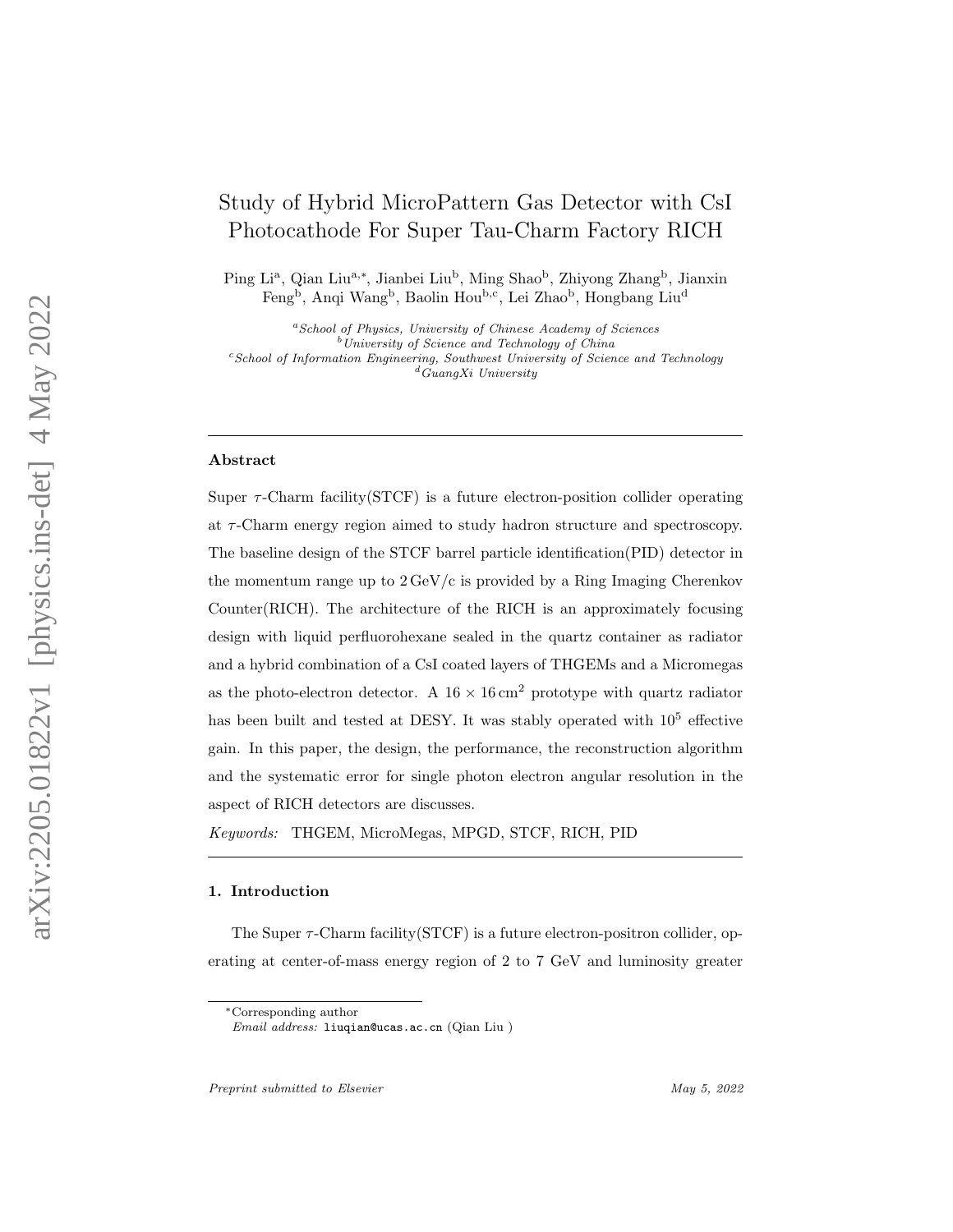# Study of Hybrid MicroPattern Gas Detector with CsI Photocathode For Super Tau-Charm Factory RICH

Ping Li<sup>a</sup>, Qian Liu<sup>a,\*</sup>, Jianbei Liu<sup>b</sup>, Ming Shao<sup>b</sup>, Zhiyong Zhang<sup>b</sup>, Jianxin Feng<sup>b</sup>, Anqi Wang<sup>b</sup>, Baolin Hou<sup>b,c</sup>, Lei Zhao<sup>b</sup>, Hongbang Liu<sup>d</sup>

<sup>a</sup>School of Physics, University of Chinese Academy of Sciences  $b$ University of Science and Technology of China  $c$ School of Information Engineering, Southwest University of Science and Technology  $\frac{d}{d}$ GuangXi University

## Abstract

Super  $\tau$ -Charm facility(STCF) is a future electron-position collider operating at τ -Charm energy region aimed to study hadron structure and spectroscopy. The baseline design of the STCF barrel particle identification(PID) detector in the momentum range up to  $2 \text{ GeV}/c$  is provided by a Ring Imaging Cherenkov Counter(RICH). The architecture of the RICH is an approximately focusing design with liquid perfluorohexane sealed in the quartz container as radiator and a hybrid combination of a CsI coated layers of THGEMs and a Micromegas as the photo-electron detector. A  $16 \times 16$  cm<sup>2</sup> prototype with quartz radiator has been built and tested at DESY. It was stably operated with  $10^5$  effective gain. In this paper, the design, the performance, the reconstruction algorithm and the systematic error for single photon electron angular resolution in the aspect of RICH detectors are discusses.

Keywords: THGEM, MicroMegas, MPGD, STCF, RICH, PID

# 1. Introduction

The Super  $\tau$ -Charm facility (STCF) is a future electron-positron collider, operating at center-of-mass energy region of 2 to 7 GeV and luminosity greater

<sup>∗</sup>Corresponding author

Email address: liuqian@ucas.ac.cn (Qian Liu )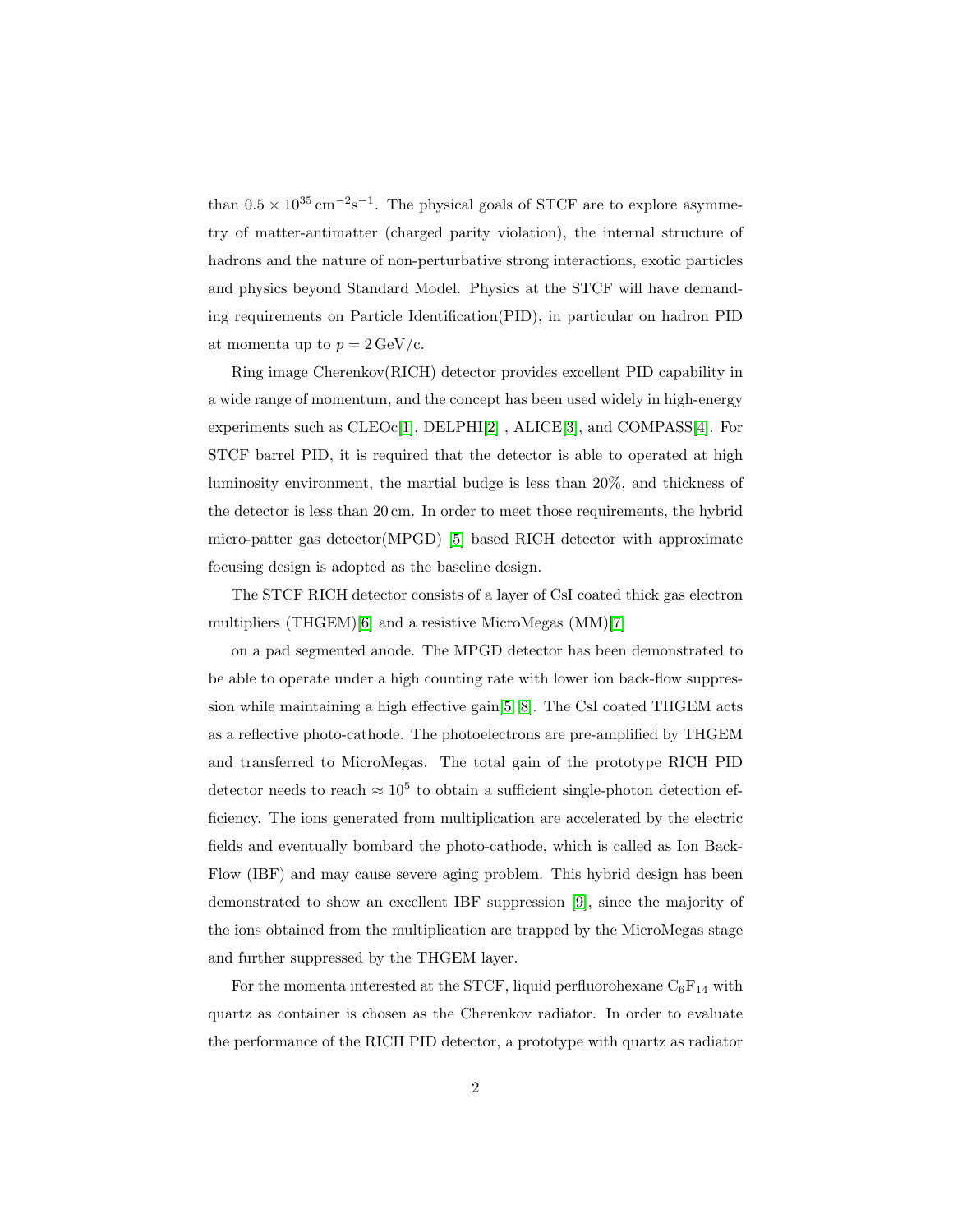than  $0.5 \times 10^{35} \,\mathrm{cm}^{-2} \mathrm{s}^{-1}$ . The physical goals of STCF are to explore asymmetry of matter-antimatter (charged parity violation), the internal structure of hadrons and the nature of non-perturbative strong interactions, exotic particles and physics beyond Standard Model. Physics at the STCF will have demanding requirements on Particle Identification(PID), in particular on hadron PID at momenta up to  $p = 2 \text{ GeV}/c$ .

Ring image Cherenkov(RICH) detector provides excellent PID capability in a wide range of momentum, and the concept has been used widely in high-energy experiments such as CLEOc[\[1\]](#page-14-0), DELPHI[\[2\]](#page-14-1) , ALICE[\[3\]](#page-14-2), and COMPASS[\[4\]](#page-14-3). For STCF barrel PID, it is required that the detector is able to operated at high luminosity environment, the martial budge is less than 20%, and thickness of the detector is less than 20 cm. In order to meet those requirements, the hybrid micro-patter gas detector(MPGD) [\[5\]](#page-14-4) based RICH detector with approximate focusing design is adopted as the baseline design.

The STCF RICH detector consists of a layer of CsI coated thick gas electron multipliers (THGEM)[\[6\]](#page-15-0) and a resistive MicroMegas (MM)[\[7\]](#page-15-1)

on a pad segmented anode. The MPGD detector has been demonstrated to be able to operate under a high counting rate with lower ion back-flow suppression while maintaining a high effective gain[\[5,](#page-14-4) [8\]](#page-15-2). The CsI coated THGEM acts as a reflective photo-cathode. The photoelectrons are pre-amplified by THGEM and transferred to MicroMegas. The total gain of the prototype RICH PID detector needs to reach  $\approx 10^5$  to obtain a sufficient single-photon detection efficiency. The ions generated from multiplication are accelerated by the electric fields and eventually bombard the photo-cathode, which is called as Ion Back-Flow (IBF) and may cause severe aging problem. This hybrid design has been demonstrated to show an excellent IBF suppression [\[9\]](#page-15-3), since the majority of the ions obtained from the multiplication are trapped by the MicroMegas stage and further suppressed by the THGEM layer.

For the momenta interested at the STCF, liquid perfluorohexane  $C_6F_{14}$  with quartz as container is chosen as the Cherenkov radiator. In order to evaluate the performance of the RICH PID detector, a prototype with quartz as radiator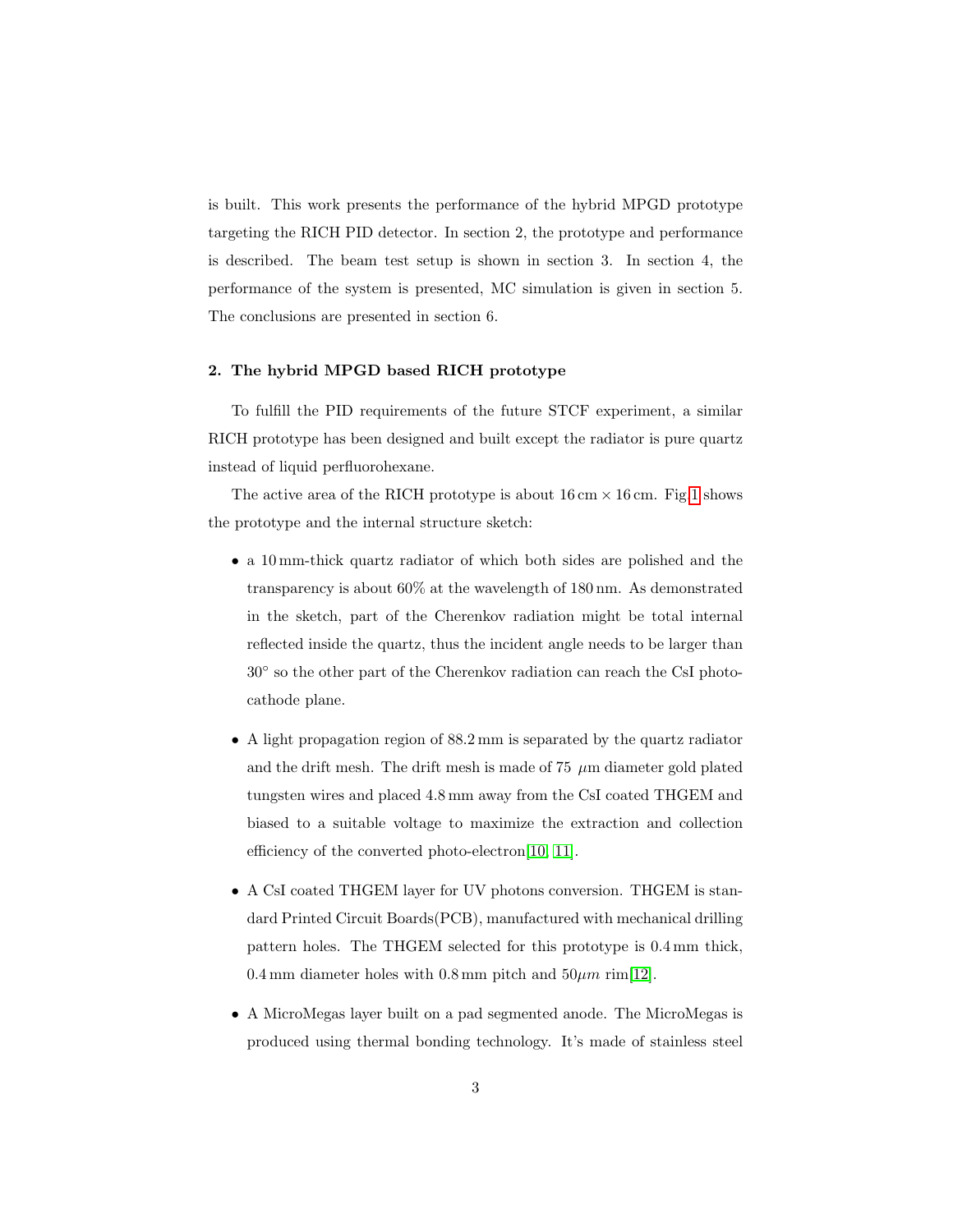is built. This work presents the performance of the hybrid MPGD prototype targeting the RICH PID detector. In section 2, the prototype and performance is described. The beam test setup is shown in section 3. In section 4, the performance of the system is presented, MC simulation is given in section 5. The conclusions are presented in section 6.

## 2. The hybrid MPGD based RICH prototype

To fulfill the PID requirements of the future STCF experiment, a similar RICH prototype has been designed and built except the radiator is pure quartz instead of liquid perfluorohexane.

The active area of the RICH prototype is about  $16 \text{ cm} \times 16 \text{ cm}$ . Fig[.1](#page-3-0) shows the prototype and the internal structure sketch:

- a 10 mm-thick quartz radiator of which both sides are polished and the transparency is about 60% at the wavelength of 180 nm. As demonstrated in the sketch, part of the Cherenkov radiation might be total internal reflected inside the quartz, thus the incident angle needs to be larger than 30◦ so the other part of the Cherenkov radiation can reach the CsI photocathode plane.
- A light propagation region of 88.2 mm is separated by the quartz radiator and the drift mesh. The drift mesh is made of 75  $\mu$ m diameter gold plated tungsten wires and placed 4.8 mm away from the CsI coated THGEM and biased to a suitable voltage to maximize the extraction and collection efficiency of the converted photo-electron[\[10,](#page-15-4) [11\]](#page-15-5).
- A CsI coated THGEM layer for UV photons conversion. THGEM is standard Printed Circuit Boards(PCB), manufactured with mechanical drilling pattern holes. The THGEM selected for this prototype is 0.4 mm thick, 0.4 mm diameter holes with 0.8 mm pitch and  $50 \mu m$  rim[\[12\]](#page-16-0).
- A MicroMegas layer built on a pad segmented anode. The MicroMegas is produced using thermal bonding technology. It's made of stainless steel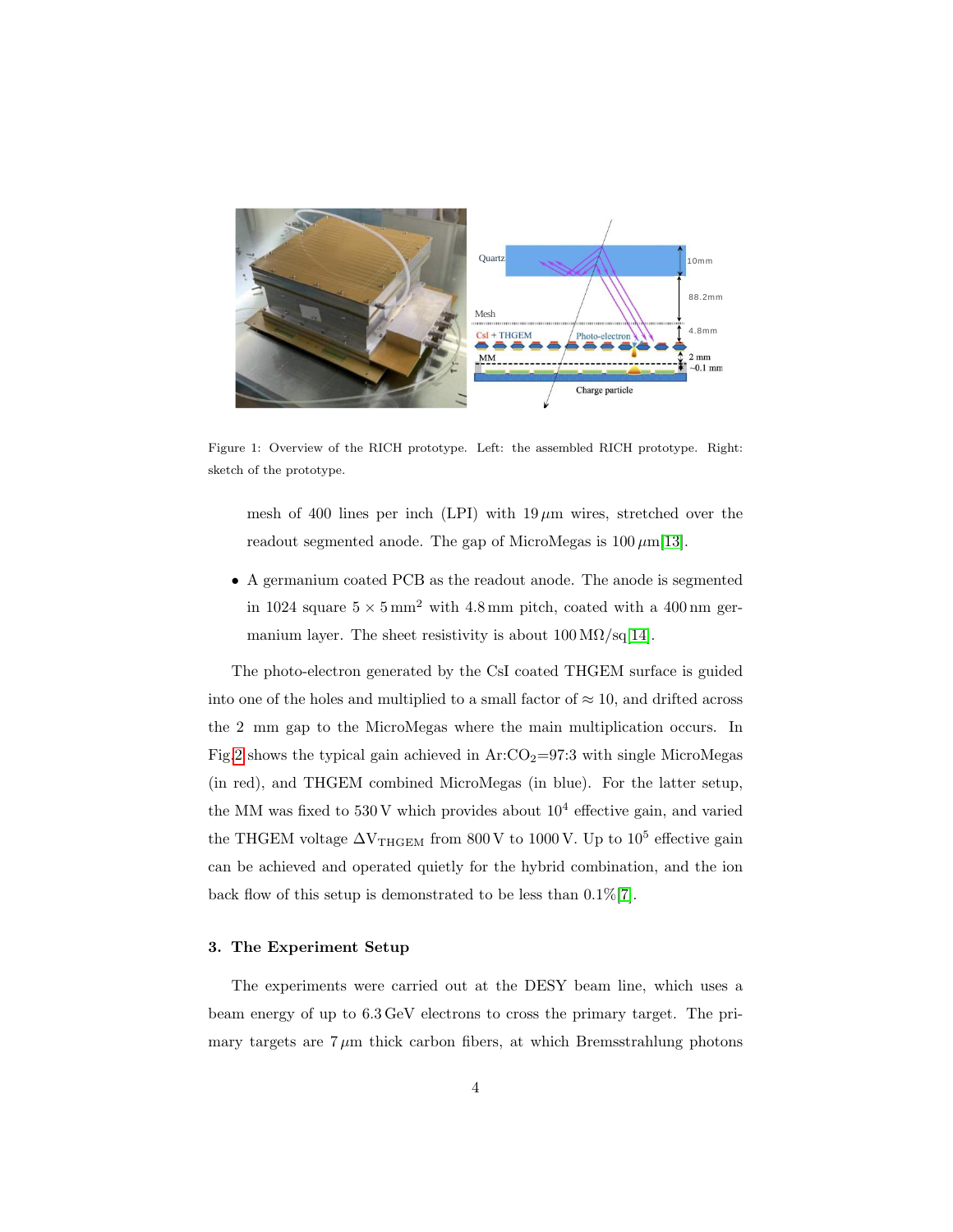

<span id="page-3-0"></span>Figure 1: Overview of the RICH prototype. Left: the assembled RICH prototype. Right: sketch of the prototype.

mesh of 400 lines per inch (LPI) with  $19 \mu m$  wires, stretched over the readout segmented anode. The gap of MicroMegas is  $100 \mu m[13]$  $100 \mu m[13]$ .

• A germanium coated PCB as the readout anode. The anode is segmented in 1024 square  $5 \times 5 \text{ mm}^2$  with 4.8 mm pitch, coated with a 400 nm germanium layer. The sheet resistivity is about  $100 \,\mathrm{M}\Omega/\mathrm{sq}[14]$  $100 \,\mathrm{M}\Omega/\mathrm{sq}[14]$ .

The photo-electron generated by the CsI coated THGEM surface is guided into one of the holes and multiplied to a small factor of  $\approx 10$ , and drifted across the 2 mm gap to the MicroMegas where the main multiplication occurs. In Fig[.2](#page-4-0) shows the typical gain achieved in  $Ar:CO_2=97.3$  with single MicroMegas (in red), and THGEM combined MicroMegas (in blue). For the latter setup, the MM was fixed to  $530\,\mathrm{V}$  which provides about  $10^4$  effective gain, and varied the THGEM voltage  $\Delta V_{\text{THGEM}}$  from 800 V to 1000 V. Up to 10<sup>5</sup> effective gain can be achieved and operated quietly for the hybrid combination, and the ion back flow of this setup is demonstrated to be less than 0.1%[\[7\]](#page-15-1).

# 3. The Experiment Setup

The experiments were carried out at the DESY beam line, which uses a beam energy of up to 6.3 GeV electrons to cross the primary target. The primary targets are  $7 \mu m$  thick carbon fibers, at which Bremsstrahlung photons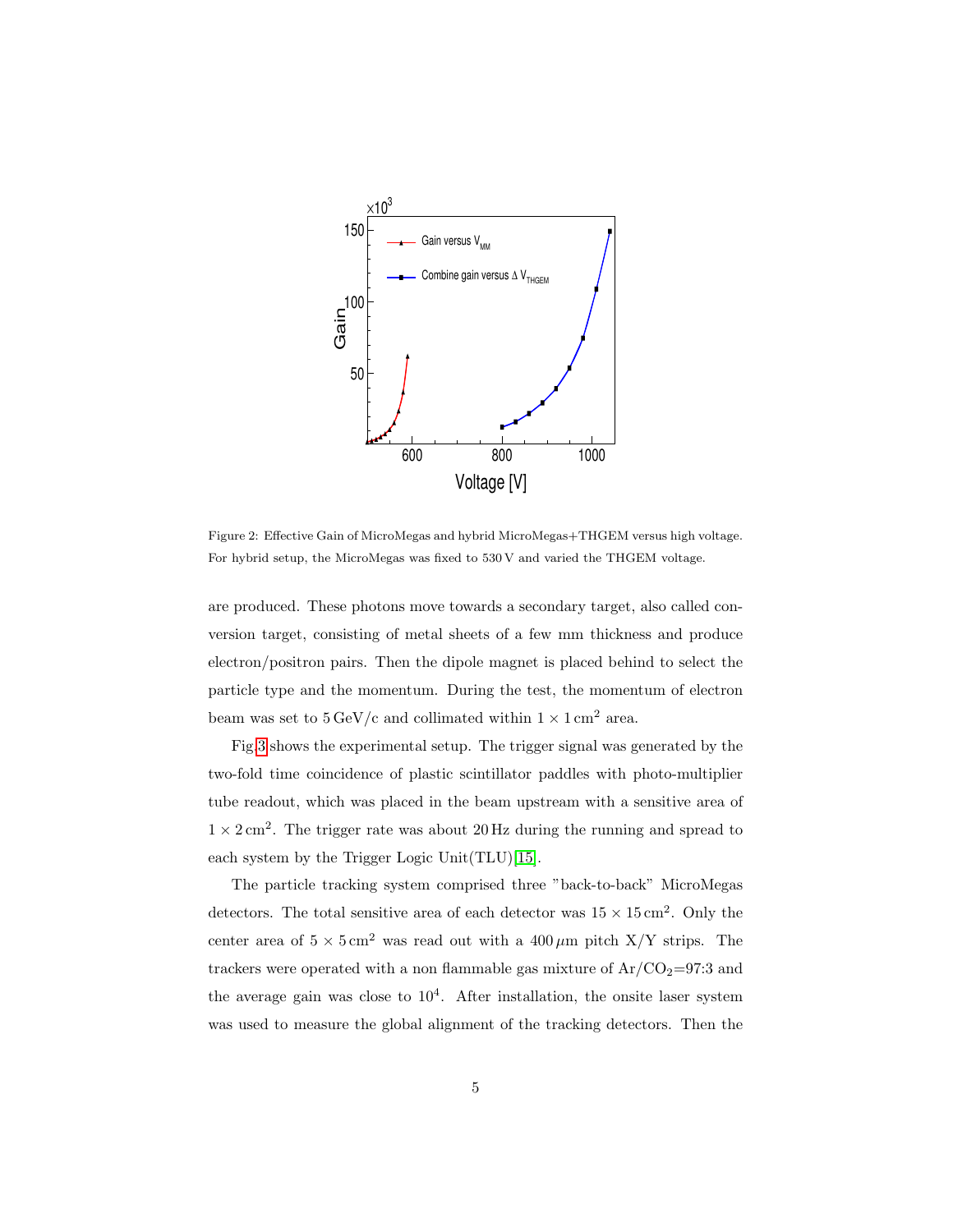

<span id="page-4-0"></span>Figure 2: Effective Gain of MicroMegas and hybrid MicroMegas+THGEM versus high voltage. For hybrid setup, the MicroMegas was fixed to 530 V and varied the THGEM voltage.

are produced. These photons move towards a secondary target, also called conversion target, consisting of metal sheets of a few mm thickness and produce electron/positron pairs. Then the dipole magnet is placed behind to select the particle type and the momentum. During the test, the momentum of electron beam was set to  $5 \,\mathrm{GeV/c}$  and collimated within  $1 \times 1 \,\mathrm{cm^2}$  area.

Fig[.3](#page-5-0) shows the experimental setup. The trigger signal was generated by the two-fold time coincidence of plastic scintillator paddles with photo-multiplier tube readout, which was placed in the beam upstream with a sensitive area of  $1 \times 2$  cm<sup>2</sup>. The trigger rate was about 20 Hz during the running and spread to each system by the Trigger Logic Unit(TLU)[\[15\]](#page-16-3).

The particle tracking system comprised three "back-to-back" MicroMegas detectors. The total sensitive area of each detector was  $15 \times 15 \,\mathrm{cm}^2$ . Only the center area of  $5 \times 5 \text{ cm}^2$  was read out with a  $400 \,\mu\text{m}$  pitch X/Y strips. The trackers were operated with a non flammable gas mixture of  $Ar/CO<sub>2</sub>=97:3$  and the average gain was close to  $10<sup>4</sup>$ . After installation, the onsite laser system was used to measure the global alignment of the tracking detectors. Then the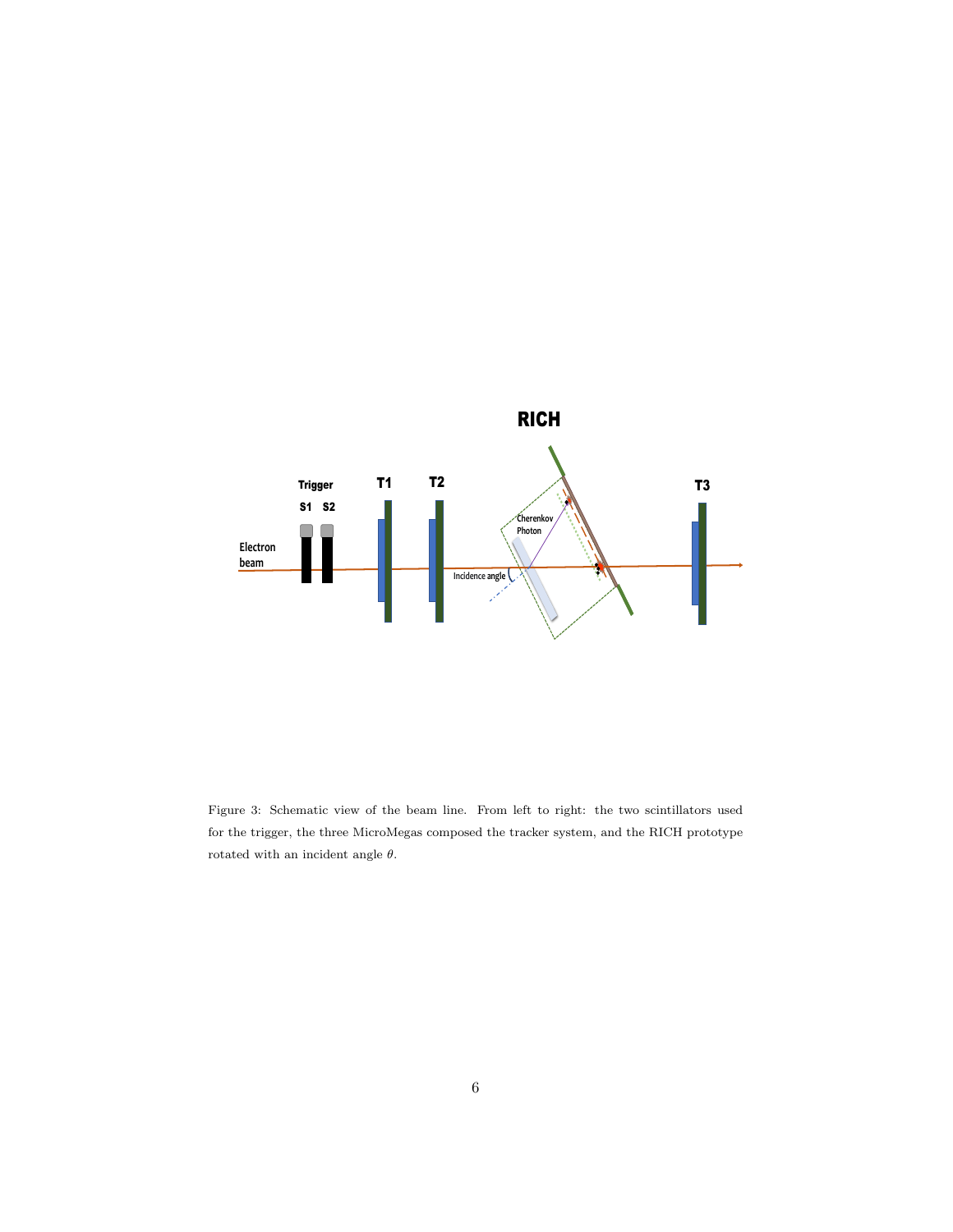

<span id="page-5-0"></span>Figure 3: Schematic view of the beam line. From left to right: the two scintillators used for the trigger, the three MicroMegas composed the tracker system, and the RICH prototype rotated with an incident angle  $\theta.$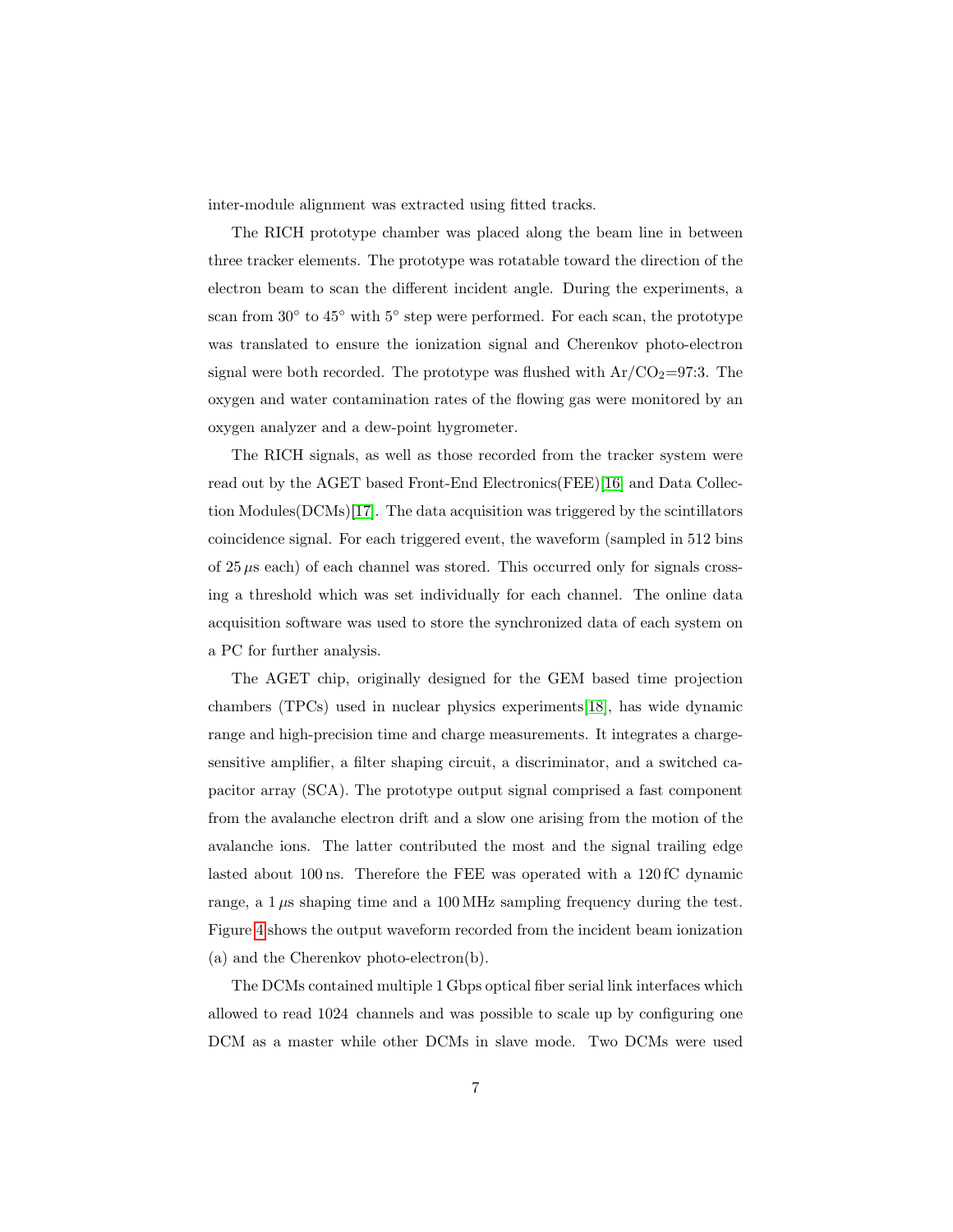inter-module alignment was extracted using fitted tracks.

The RICH prototype chamber was placed along the beam line in between three tracker elements. The prototype was rotatable toward the direction of the electron beam to scan the different incident angle. During the experiments, a scan from 30° to 45° with 5° step were performed. For each scan, the prototype was translated to ensure the ionization signal and Cherenkov photo-electron signal were both recorded. The prototype was flushed with  $Ar/CO<sub>2</sub>=97:3$ . The oxygen and water contamination rates of the flowing gas were monitored by an oxygen analyzer and a dew-point hygrometer.

The RICH signals, as well as those recorded from the tracker system were read out by the AGET based Front-End Electronics(FEE)[\[16\]](#page-16-4) and Data Collection Modules(DCMs)[\[17\]](#page-16-5). The data acquisition was triggered by the scintillators coincidence signal. For each triggered event, the waveform (sampled in 512 bins of  $25 \mu s$  each) of each channel was stored. This occurred only for signals crossing a threshold which was set individually for each channel. The online data acquisition software was used to store the synchronized data of each system on a PC for further analysis.

The AGET chip, originally designed for the GEM based time projection chambers (TPCs) used in nuclear physics experiments[\[18\]](#page-16-6), has wide dynamic range and high-precision time and charge measurements. It integrates a chargesensitive amplifier, a filter shaping circuit, a discriminator, and a switched capacitor array (SCA). The prototype output signal comprised a fast component from the avalanche electron drift and a slow one arising from the motion of the avalanche ions. The latter contributed the most and the signal trailing edge lasted about 100 ns. Therefore the FEE was operated with a 120 fC dynamic range, a  $1 \mu s$  shaping time and a 100 MHz sampling frequency during the test. Figure [4](#page-7-0) shows the output waveform recorded from the incident beam ionization (a) and the Cherenkov photo-electron(b).

The DCMs contained multiple 1 Gbps optical fiber serial link interfaces which allowed to read 1024 channels and was possible to scale up by configuring one DCM as a master while other DCMs in slave mode. Two DCMs were used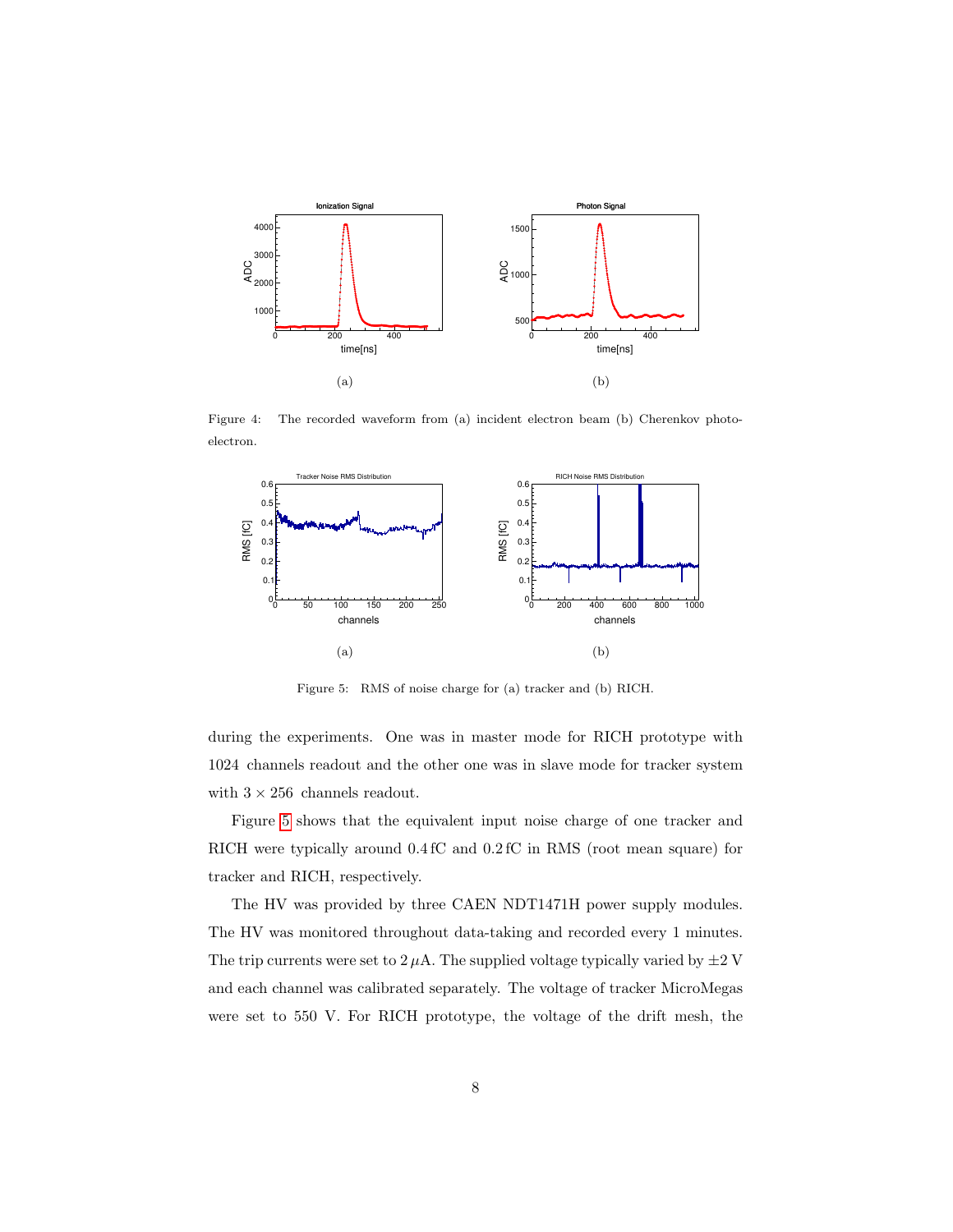

<span id="page-7-0"></span>Figure 4: The recorded waveform from (a) incident electron beam (b) Cherenkov photoelectron.



<span id="page-7-1"></span>Figure 5: RMS of noise charge for (a) tracker and (b) RICH.

during the experiments. One was in master mode for RICH prototype with 1024 channels readout and the other one was in slave mode for tracker system with  $3 \times 256$  channels readout.

Figure [5](#page-7-1) shows that the equivalent input noise charge of one tracker and RICH were typically around 0.4 fC and 0.2 fC in RMS (root mean square) for tracker and RICH, respectively.

The HV was provided by three CAEN NDT1471H power supply modules. The HV was monitored throughout data-taking and recorded every 1 minutes. The trip currents were set to  $2 \mu A$ . The supplied voltage typically varied by  $\pm 2$  V and each channel was calibrated separately. The voltage of tracker MicroMegas were set to 550 V. For RICH prototype, the voltage of the drift mesh, the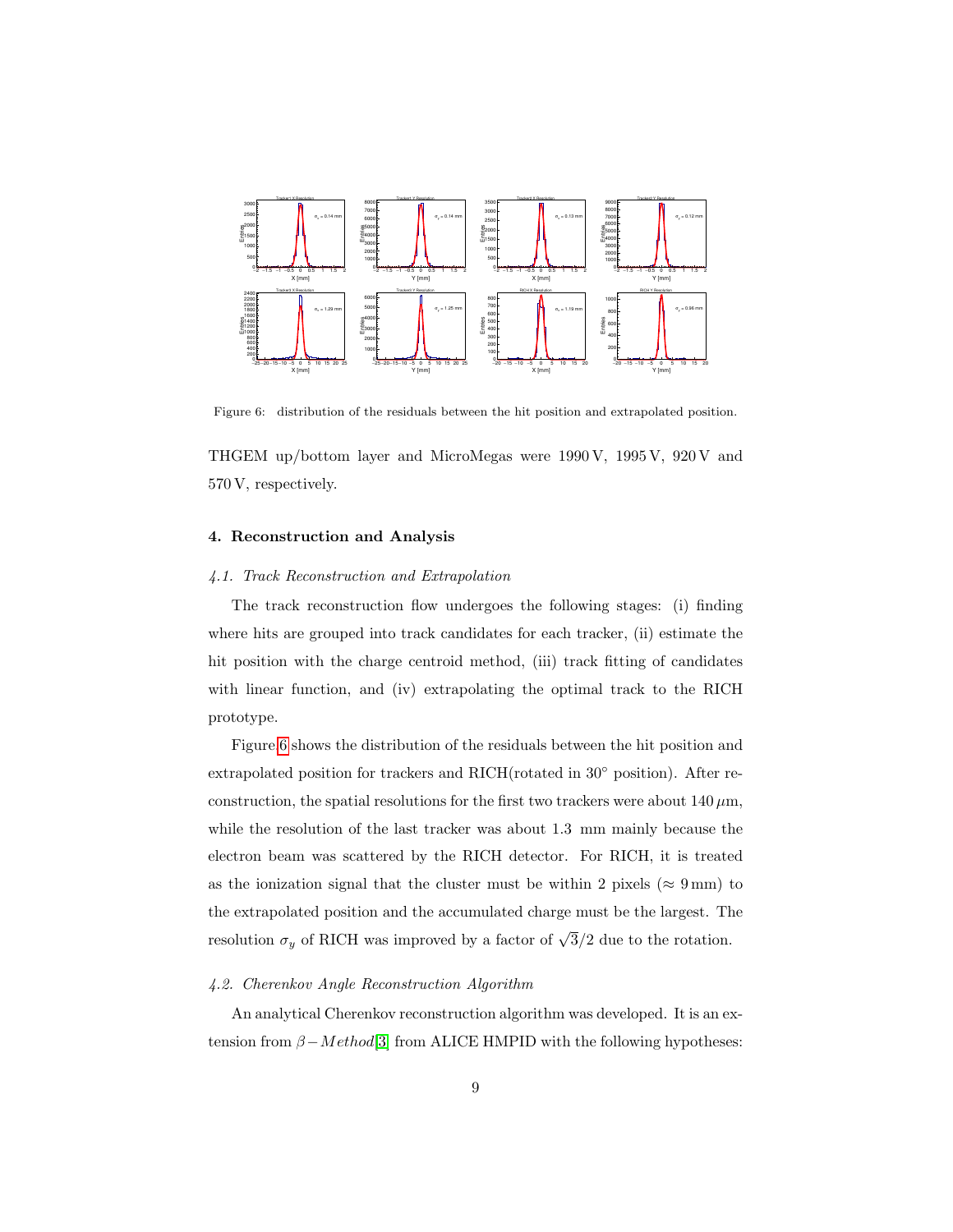

<span id="page-8-0"></span>Figure 6: distribution of the residuals between the hit position and extrapolated position.

THGEM up/bottom layer and MicroMegas were 1990 V, 1995 V, 920 V and 570 V, respectively.

## 4. Reconstruction and Analysis

### 4.1. Track Reconstruction and Extrapolation

The track reconstruction flow undergoes the following stages: (i) finding where hits are grouped into track candidates for each tracker, (ii) estimate the hit position with the charge centroid method, (iii) track fitting of candidates with linear function, and (iv) extrapolating the optimal track to the RICH prototype.

Figure[.6](#page-8-0) shows the distribution of the residuals between the hit position and extrapolated position for trackers and RICH(rotated in 30◦ position). After reconstruction, the spatial resolutions for the first two trackers were about 140  $\mu$ m, while the resolution of the last tracker was about 1.3 mm mainly because the electron beam was scattered by the RICH detector. For RICH, it is treated as the ionization signal that the cluster must be within 2 pixels ( $\approx 9 \text{ mm}$ ) to the extrapolated position and the accumulated charge must be the largest. The resolution  $\sigma_y$  of RICH was improved by a factor of  $\sqrt{3}/2$  due to the rotation.

# 4.2. Cherenkov Angle Reconstruction Algorithm

An analytical Cherenkov reconstruction algorithm was developed. It is an extension from  $\beta - Method[3]$  $\beta - Method[3]$  from ALICE HMPID with the following hypotheses: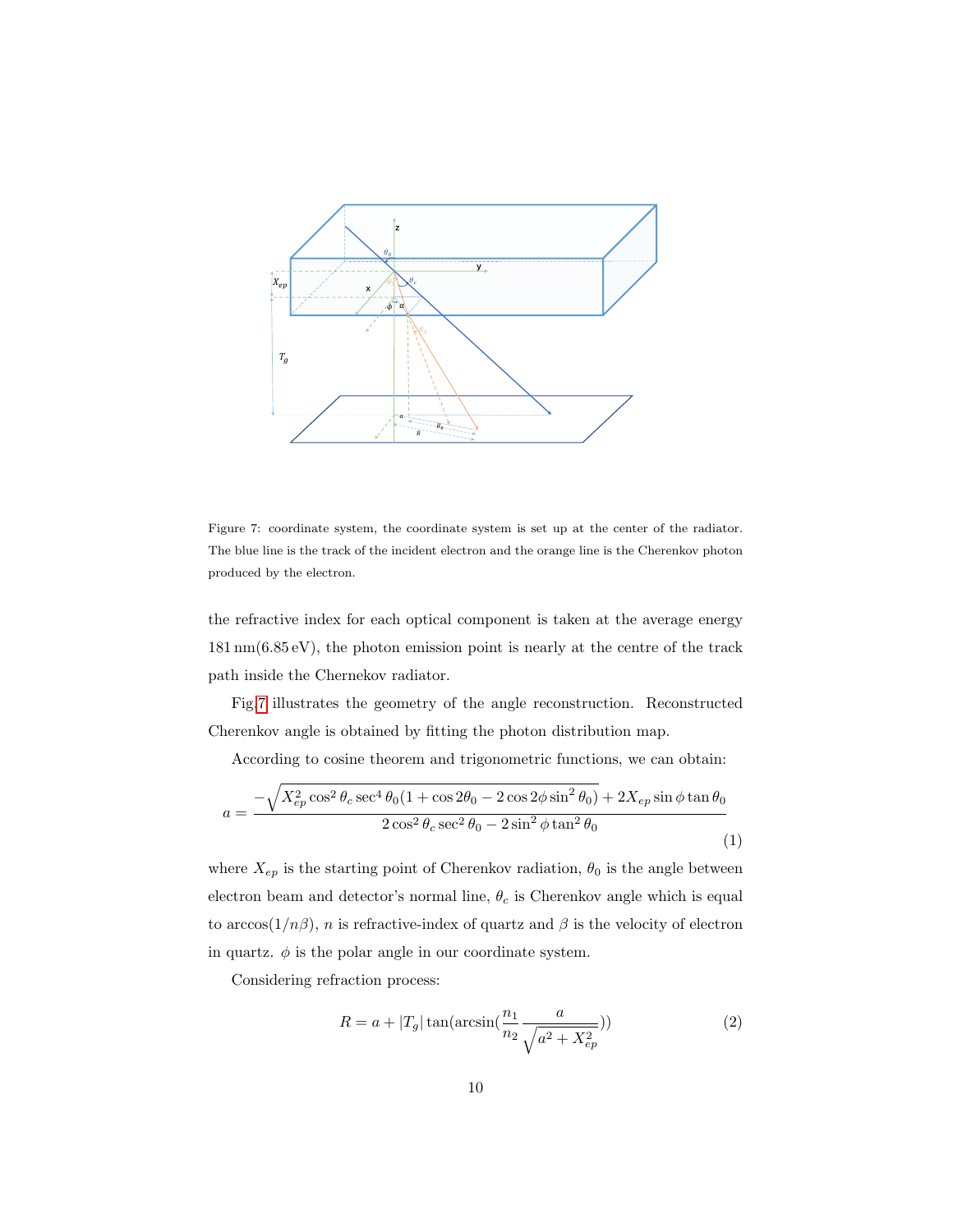

<span id="page-9-0"></span>Figure 7: coordinate system, the coordinate system is set up at the center of the radiator. The blue line is the track of the incident electron and the orange line is the Cherenkov photon produced by the electron.

the refractive index for each optical component is taken at the average energy 181 nm(6.85 eV), the photon emission point is nearly at the centre of the track path inside the Chernekov radiator.

Fig[.7](#page-9-0) illustrates the geometry of the angle reconstruction. Reconstructed Cherenkov angle is obtained by fitting the photon distribution map.

According to cosine theorem and trigonometric functions, we can obtain:

<span id="page-9-1"></span>
$$
a = \frac{-\sqrt{X_{ep}^2 \cos^2 \theta_c \sec^4 \theta_0 (1 + \cos 2\theta_0 - 2\cos 2\phi \sin^2 \theta_0)} + 2X_{ep} \sin \phi \tan \theta_0}{2 \cos^2 \theta_c \sec^2 \theta_0 - 2\sin^2 \phi \tan^2 \theta_0}
$$
(1)

where  $X_{ep}$  is the starting point of Cherenkov radiation,  $\theta_0$  is the angle between electron beam and detector's normal line,  $\theta_c$  is Cherenkov angle which is equal to arccos( $1/n\beta$ ), *n* is refractive-index of quartz and  $\beta$  is the velocity of electron in quartz.  $\phi$  is the polar angle in our coordinate system.

Considering refraction process:

$$
R = a + |T_g| \tan(\arcsin(\frac{n_1}{n_2}\frac{a}{\sqrt{a^2 + X_{ep}^2}}))
$$
\n(2)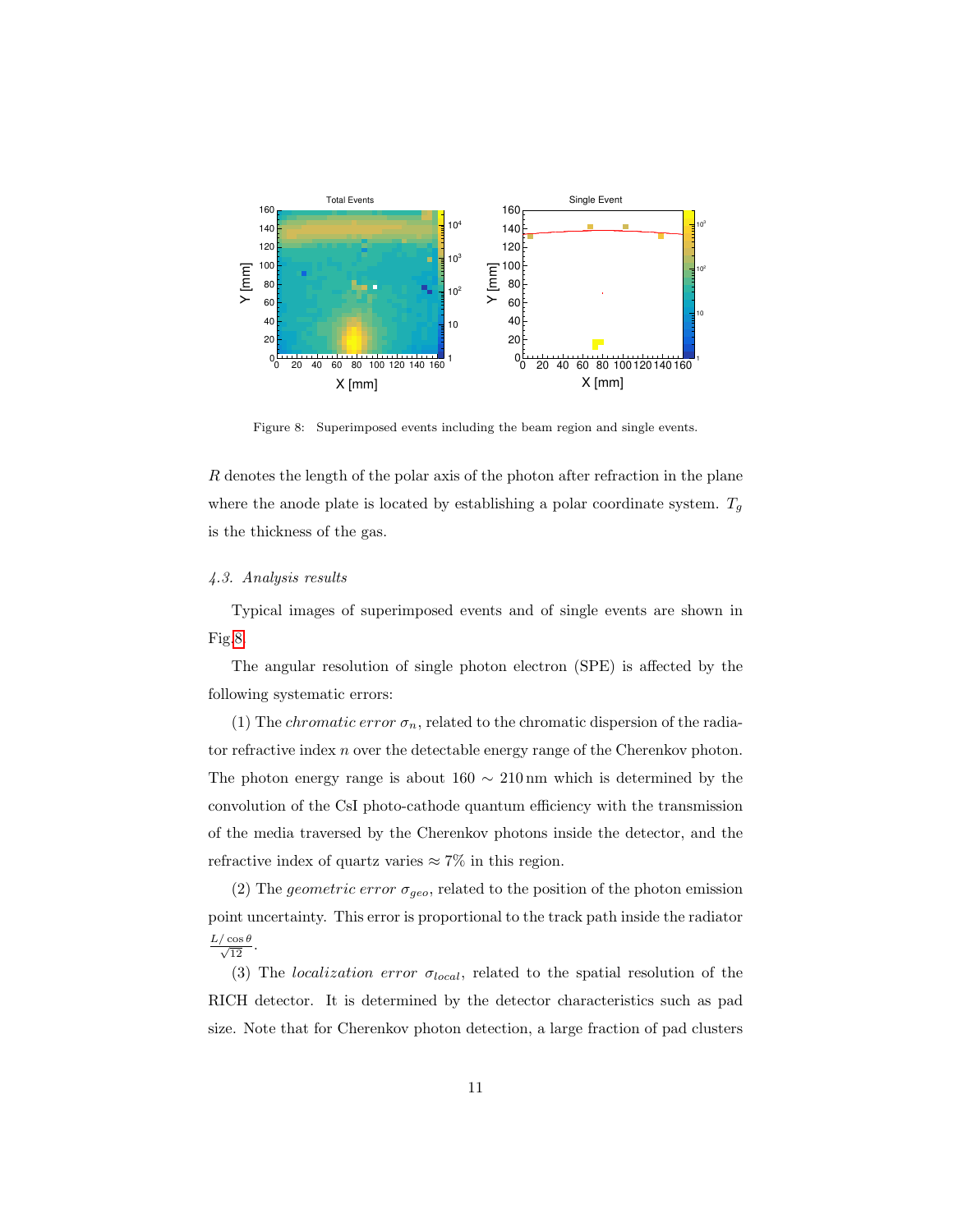

<span id="page-10-0"></span>Figure 8: Superimposed events including the beam region and single events.

R denotes the length of the polar axis of the photon after refraction in the plane where the anode plate is located by establishing a polar coordinate system.  $T_g$ is the thickness of the gas.

#### 4.3. Analysis results

Typical images of superimposed events and of single events are shown in Fig[.8.](#page-10-0)

The angular resolution of single photon electron (SPE) is affected by the following systematic errors:

(1) The *chromatic error*  $\sigma_n$ , related to the chromatic dispersion of the radiator refractive index n over the detectable energy range of the Cherenkov photon. The photon energy range is about  $160 \sim 210 \,\text{nm}$  which is determined by the convolution of the CsI photo-cathode quantum efficiency with the transmission of the media traversed by the Cherenkov photons inside the detector, and the refractive index of quartz varies  $\approx 7\%$  in this region.

(2) The geometric error  $\sigma_{geo}$ , related to the position of the photon emission point uncertainty. This error is proportional to the track path inside the radiator  $rac{L/\cos\theta}{\sqrt{12}}$ .

(3) The *localization error*  $\sigma_{local}$ , related to the spatial resolution of the RICH detector. It is determined by the detector characteristics such as pad size. Note that for Cherenkov photon detection, a large fraction of pad clusters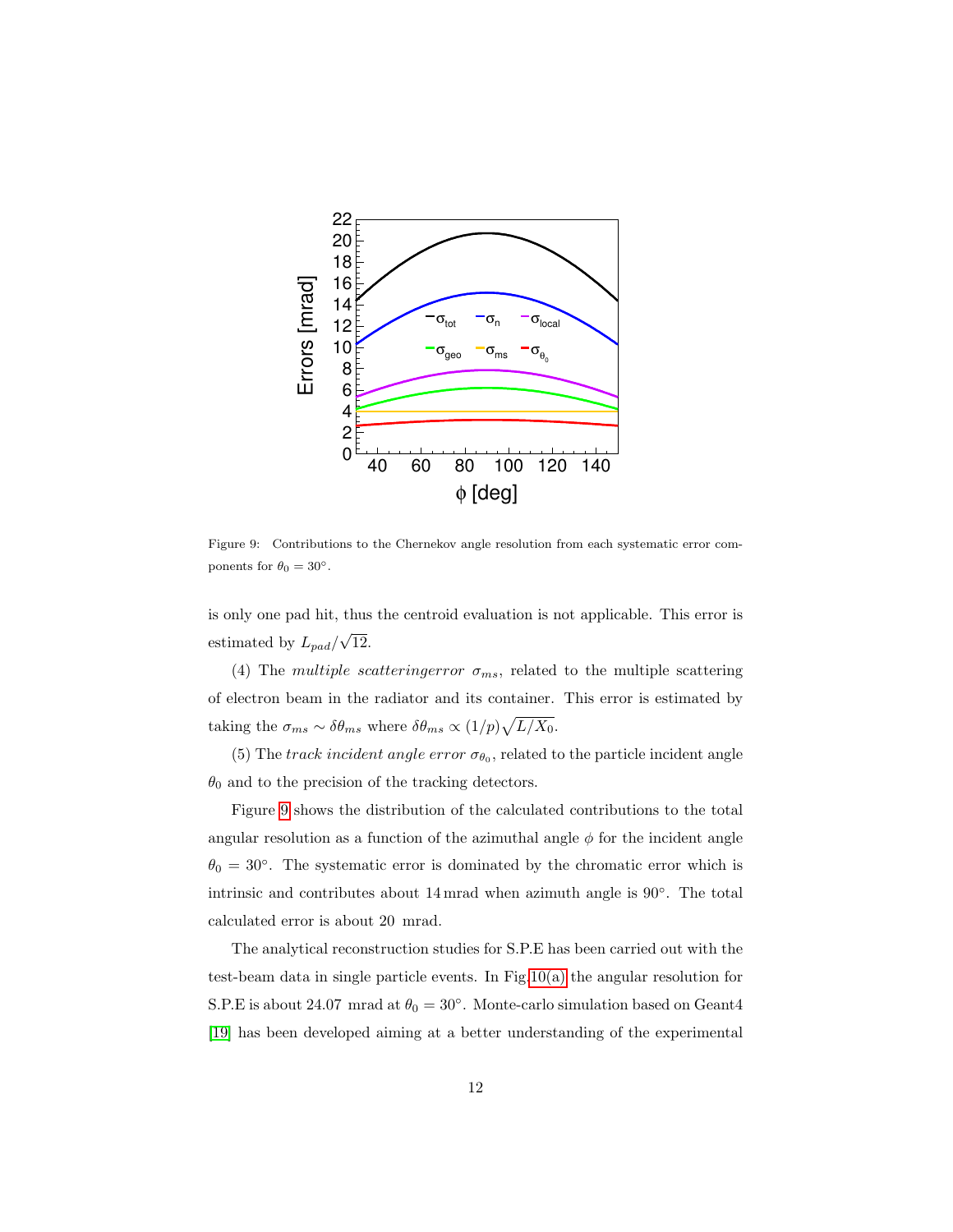

<span id="page-11-0"></span>Figure 9: Contributions to the Chernekov angle resolution from each systematic error components for  $\theta_0 = 30^\circ$ .

is only one pad hit, thus the centroid evaluation is not applicable. This error is estimated by  $L_{pad}/$ √ 12.

(4) The multiple scattering error  $\sigma_{ms}$ , related to the multiple scattering of electron beam in the radiator and its container. This error is estimated by taking the  $\sigma_{ms} \sim \delta \theta_{ms}$  where  $\delta \theta_{ms} \propto (1/p) \sqrt{L/X_0}$ .

(5) The track incident angle error  $\sigma_{\theta_0}$ , related to the particle incident angle  $\theta_0$  and to the precision of the tracking detectors.

Figure [9](#page-11-0) shows the distribution of the calculated contributions to the total angular resolution as a function of the azimuthal angle  $\phi$  for the incident angle  $\theta_0 = 30^\circ$ . The systematic error is dominated by the chromatic error which is intrinsic and contributes about 14 mrad when azimuth angle is 90◦ . The total calculated error is about 20 mrad.

The analytical reconstruction studies for S.P.E has been carried out with the test-beam data in single particle events. In Fig[.10\(a\)](#page-12-0) the angular resolution for S.P.E is about 24.07 mrad at  $\theta_0 = 30^\circ$ . Monte-carlo simulation based on Geant4 [\[19\]](#page-17-0) has been developed aiming at a better understanding of the experimental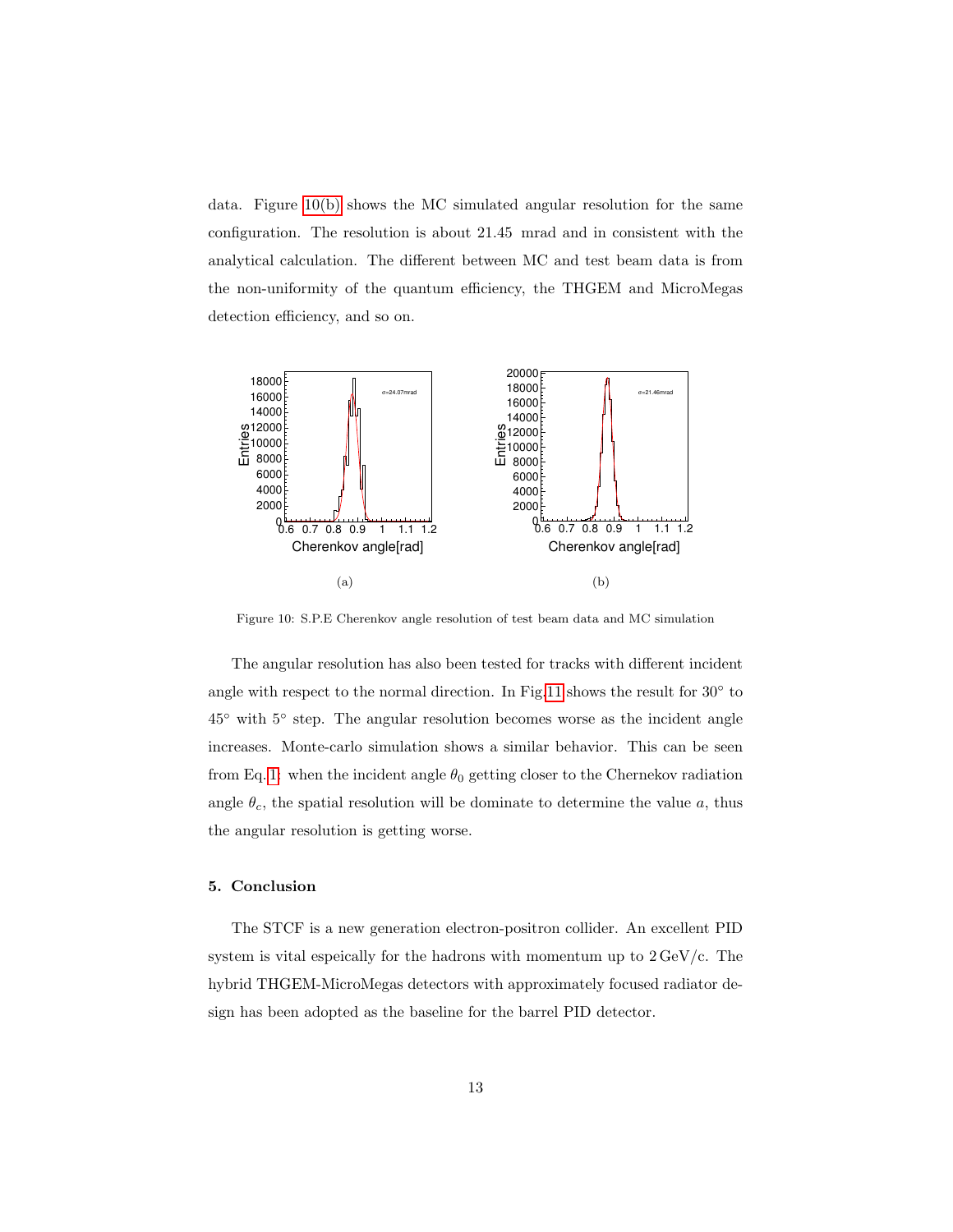data. Figure [10\(b\)](#page-12-1) shows the MC simulated angular resolution for the same configuration. The resolution is about 21.45 mrad and in consistent with the analytical calculation. The different between MC and test beam data is from the non-uniformity of the quantum efficiency, the THGEM and MicroMegas detection efficiency, and so on.

<span id="page-12-0"></span>

<span id="page-12-1"></span>Figure 10: S.P.E Cherenkov angle resolution of test beam data and MC simulation

The angular resolution has also been tested for tracks with different incident angle with respect to the normal direction. In Fig[.11](#page-13-0) shows the result for  $30^{\circ}$  to 45◦ with 5◦ step. The angular resolution becomes worse as the incident angle increases. Monte-carlo simulation shows a similar behavior. This can be seen from Eq. [1:](#page-9-1) when the incident angle  $\theta_0$  getting closer to the Chernekov radiation angle  $\theta_c$ , the spatial resolution will be dominate to determine the value a, thus the angular resolution is getting worse.

### 5. Conclusion

The STCF is a new generation electron-positron collider. An excellent PID system is vital espeically for the hadrons with momentum up to  $2 \,\mathrm{GeV/c}$ . The hybrid THGEM-MicroMegas detectors with approximately focused radiator design has been adopted as the baseline for the barrel PID detector.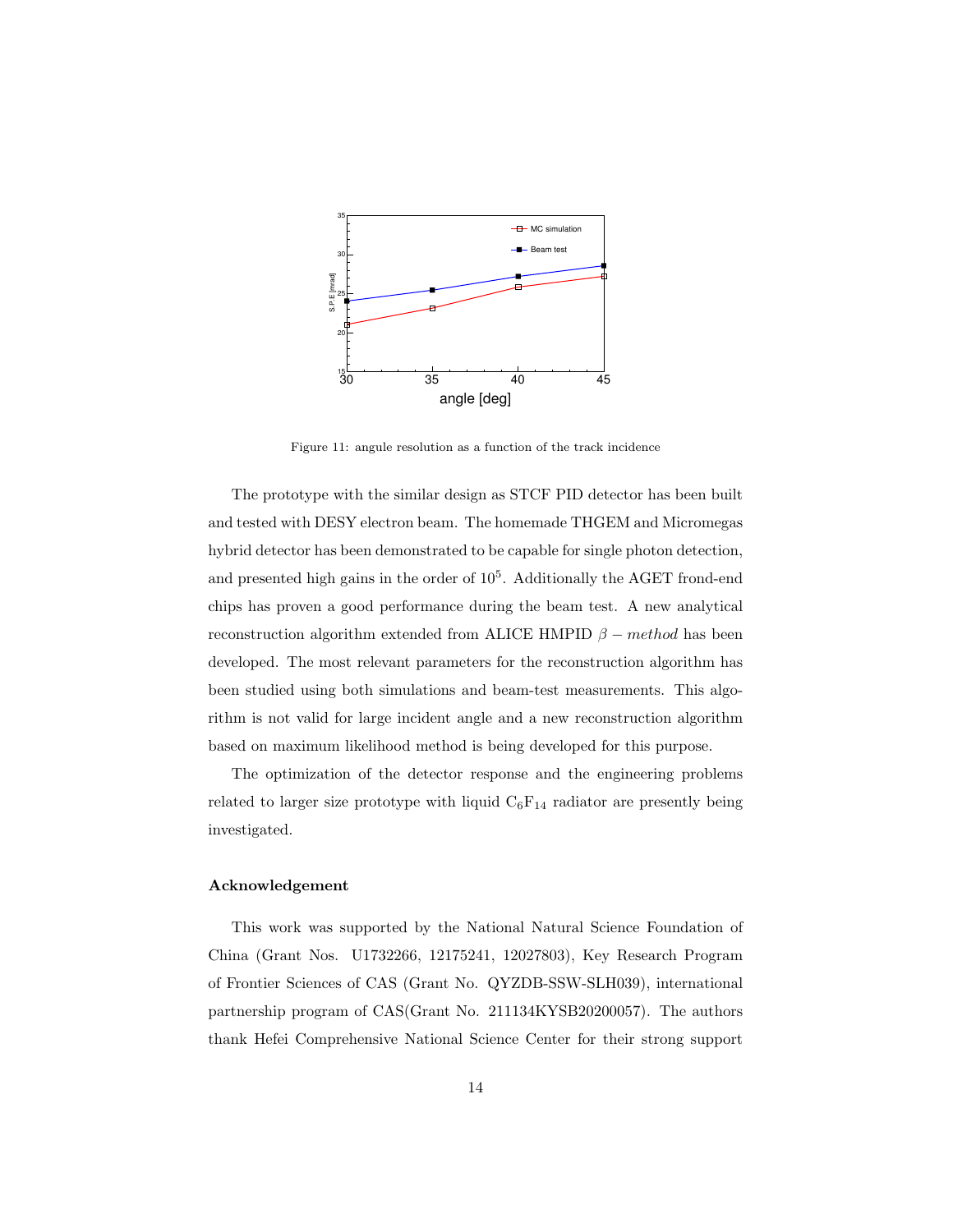

<span id="page-13-0"></span>Figure 11: angule resolution as a function of the track incidence

The prototype with the similar design as STCF PID detector has been built and tested with DESY electron beam. The homemade THGEM and Micromegas hybrid detector has been demonstrated to be capable for single photon detection, and presented high gains in the order of  $10<sup>5</sup>$ . Additionally the AGET frond-end chips has proven a good performance during the beam test. A new analytical reconstruction algorithm extended from ALICE HMPID  $\beta$  – method has been developed. The most relevant parameters for the reconstruction algorithm has been studied using both simulations and beam-test measurements. This algorithm is not valid for large incident angle and a new reconstruction algorithm based on maximum likelihood method is being developed for this purpose.

The optimization of the detector response and the engineering problems related to larger size prototype with liquid  $C_6F_{14}$  radiator are presently being investigated.

#### Acknowledgement

This work was supported by the National Natural Science Foundation of China (Grant Nos. U1732266, 12175241, 12027803), Key Research Program of Frontier Sciences of CAS (Grant No. QYZDB-SSW-SLH039), international partnership program of CAS(Grant No. 211134KYSB20200057). The authors thank Hefei Comprehensive National Science Center for their strong support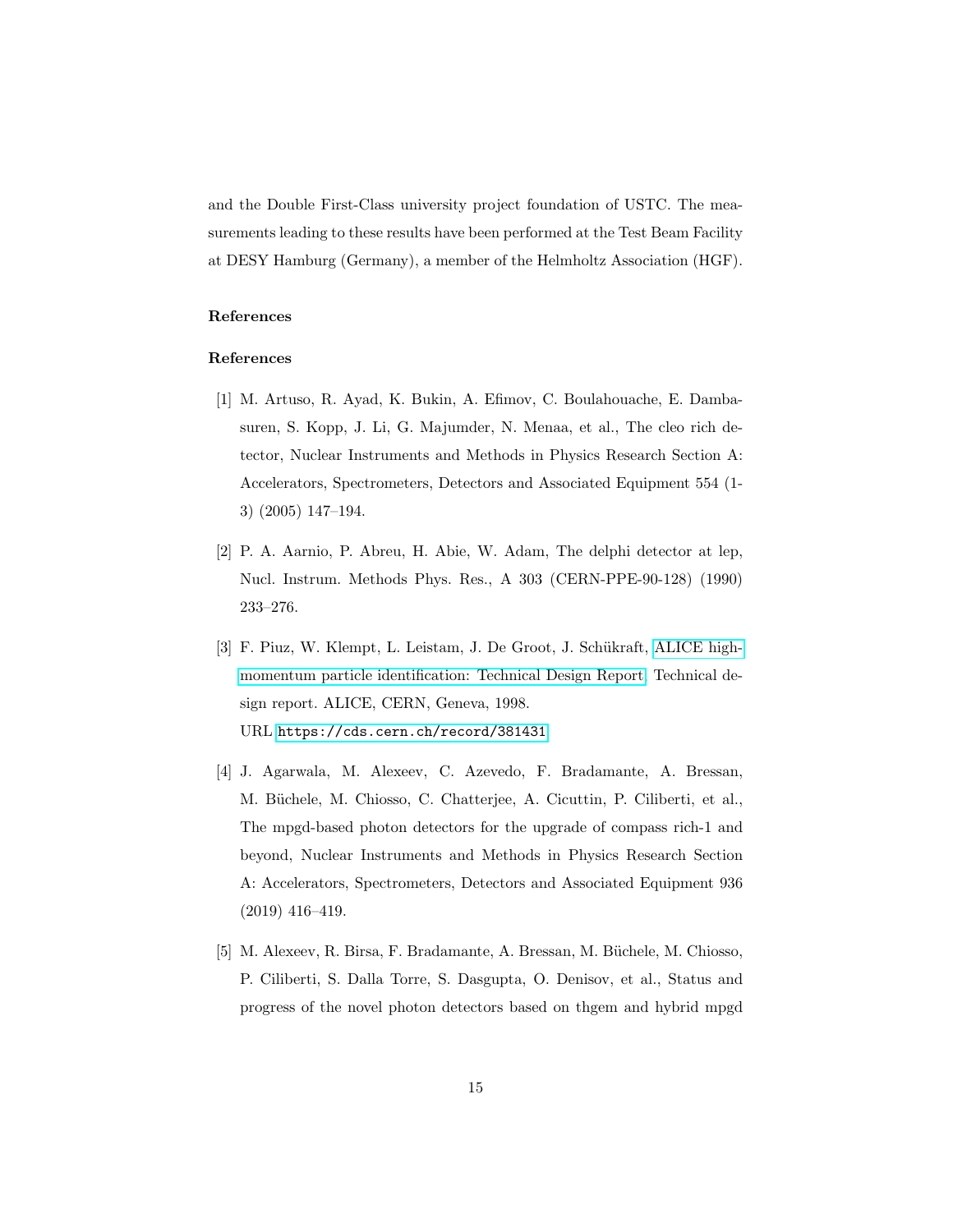and the Double First-Class university project foundation of USTC. The measurements leading to these results have been performed at the Test Beam Facility at DESY Hamburg (Germany), a member of the Helmholtz Association (HGF).

## References

# References

- <span id="page-14-0"></span>[1] M. Artuso, R. Ayad, K. Bukin, A. Efimov, C. Boulahouache, E. Dambasuren, S. Kopp, J. Li, G. Majumder, N. Menaa, et al., The cleo rich detector, Nuclear Instruments and Methods in Physics Research Section A: Accelerators, Spectrometers, Detectors and Associated Equipment 554 (1- 3) (2005) 147–194.
- <span id="page-14-1"></span>[2] P. A. Aarnio, P. Abreu, H. Abie, W. Adam, The delphi detector at lep, Nucl. Instrum. Methods Phys. Res., A 303 (CERN-PPE-90-128) (1990) 233–276.
- <span id="page-14-2"></span>[3] F. Piuz, W. Klempt, L. Leistam, J. De Groot, J. Schükraft, [ALICE high](https://cds.cern.ch/record/381431)[momentum particle identification: Technical Design Report,](https://cds.cern.ch/record/381431) Technical design report. ALICE, CERN, Geneva, 1998. URL <https://cds.cern.ch/record/381431>
- <span id="page-14-3"></span>[4] J. Agarwala, M. Alexeev, C. Azevedo, F. Bradamante, A. Bressan, M. Büchele, M. Chiosso, C. Chatterjee, A. Cicuttin, P. Ciliberti, et al., The mpgd-based photon detectors for the upgrade of compass rich-1 and beyond, Nuclear Instruments and Methods in Physics Research Section A: Accelerators, Spectrometers, Detectors and Associated Equipment 936 (2019) 416–419.
- <span id="page-14-4"></span>[5] M. Alexeev, R. Birsa, F. Bradamante, A. Bressan, M. Büchele, M. Chiosso, P. Ciliberti, S. Dalla Torre, S. Dasgupta, O. Denisov, et al., Status and progress of the novel photon detectors based on thgem and hybrid mpgd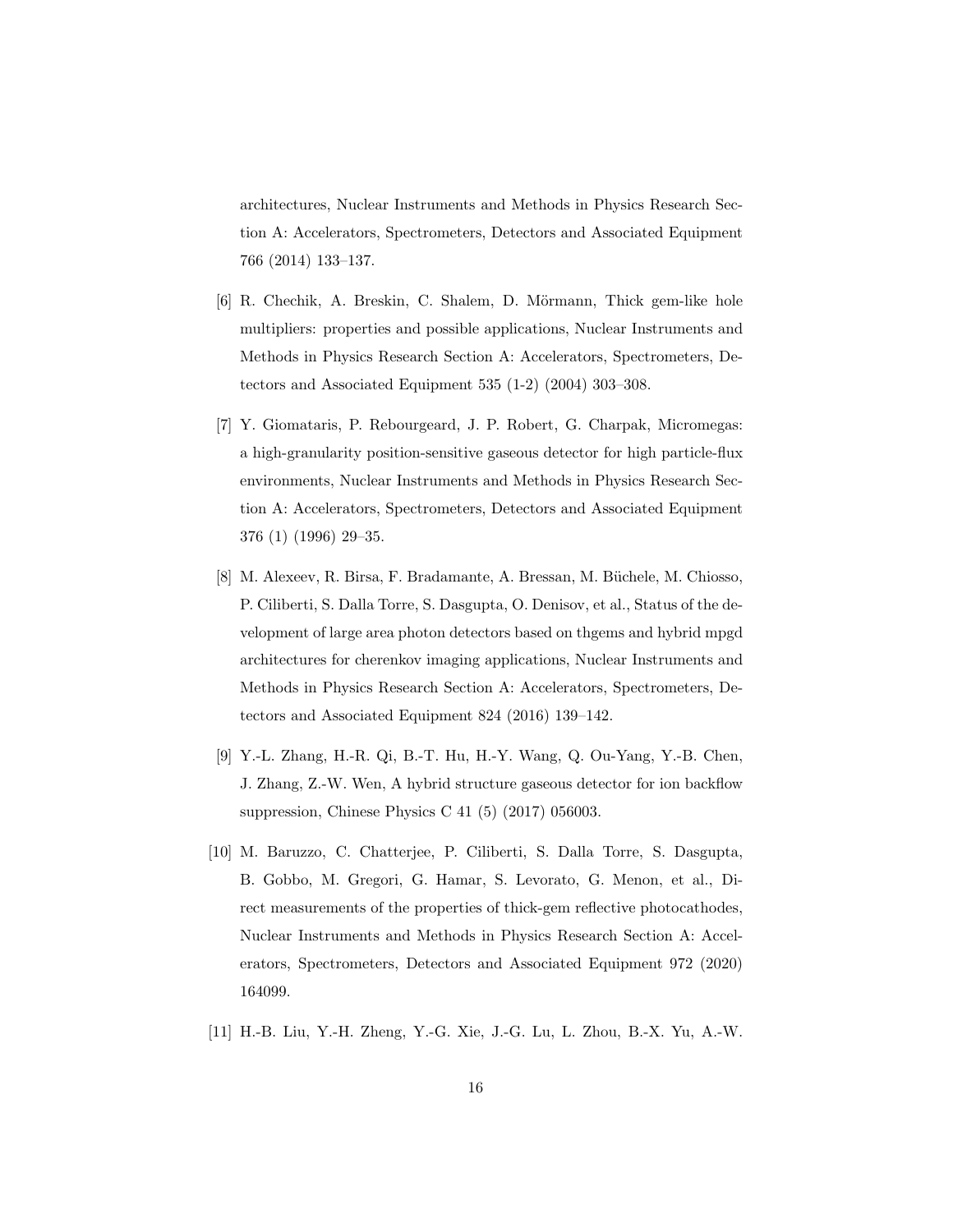architectures, Nuclear Instruments and Methods in Physics Research Section A: Accelerators, Spectrometers, Detectors and Associated Equipment 766 (2014) 133–137.

- <span id="page-15-0"></span>[6] R. Chechik, A. Breskin, C. Shalem, D. Mörmann, Thick gem-like hole multipliers: properties and possible applications, Nuclear Instruments and Methods in Physics Research Section A: Accelerators, Spectrometers, Detectors and Associated Equipment 535 (1-2) (2004) 303–308.
- <span id="page-15-1"></span>[7] Y. Giomataris, P. Rebourgeard, J. P. Robert, G. Charpak, Micromegas: a high-granularity position-sensitive gaseous detector for high particle-flux environments, Nuclear Instruments and Methods in Physics Research Section A: Accelerators, Spectrometers, Detectors and Associated Equipment 376 (1) (1996) 29–35.
- <span id="page-15-2"></span>[8] M. Alexeev, R. Birsa, F. Bradamante, A. Bressan, M. Büchele, M. Chiosso, P. Ciliberti, S. Dalla Torre, S. Dasgupta, O. Denisov, et al., Status of the development of large area photon detectors based on thgems and hybrid mpgd architectures for cherenkov imaging applications, Nuclear Instruments and Methods in Physics Research Section A: Accelerators, Spectrometers, Detectors and Associated Equipment 824 (2016) 139–142.
- <span id="page-15-3"></span>[9] Y.-L. Zhang, H.-R. Qi, B.-T. Hu, H.-Y. Wang, Q. Ou-Yang, Y.-B. Chen, J. Zhang, Z.-W. Wen, A hybrid structure gaseous detector for ion backflow suppression, Chinese Physics C 41 (5) (2017) 056003.
- <span id="page-15-4"></span>[10] M. Baruzzo, C. Chatterjee, P. Ciliberti, S. Dalla Torre, S. Dasgupta, B. Gobbo, M. Gregori, G. Hamar, S. Levorato, G. Menon, et al., Direct measurements of the properties of thick-gem reflective photocathodes, Nuclear Instruments and Methods in Physics Research Section A: Accelerators, Spectrometers, Detectors and Associated Equipment 972 (2020) 164099.
- <span id="page-15-5"></span>[11] H.-B. Liu, Y.-H. Zheng, Y.-G. Xie, J.-G. Lu, L. Zhou, B.-X. Yu, A.-W.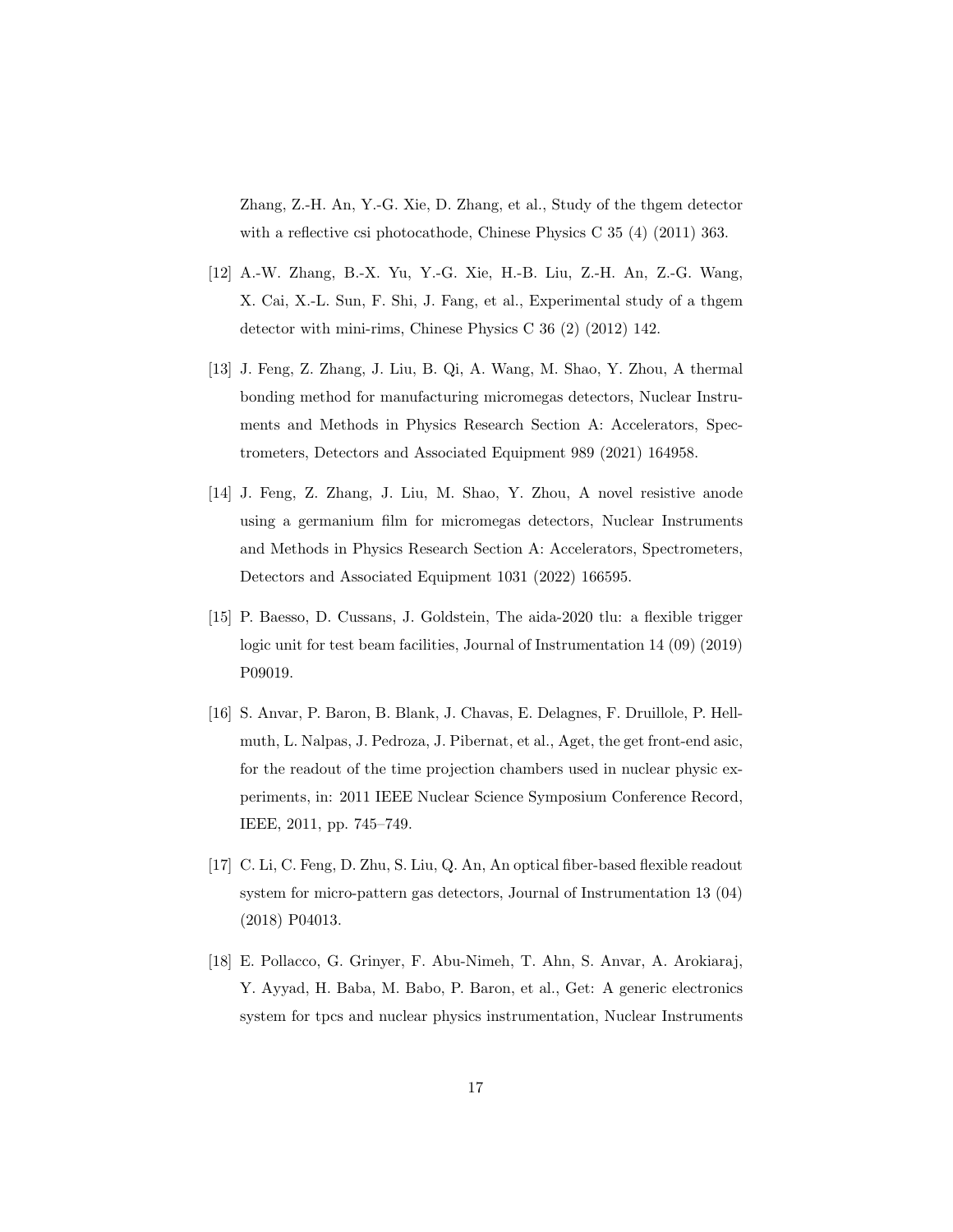Zhang, Z.-H. An, Y.-G. Xie, D. Zhang, et al., Study of the thgem detector with a reflective csi photocathode, Chinese Physics C 35 (4) (2011) 363.

- <span id="page-16-0"></span>[12] A.-W. Zhang, B.-X. Yu, Y.-G. Xie, H.-B. Liu, Z.-H. An, Z.-G. Wang, X. Cai, X.-L. Sun, F. Shi, J. Fang, et al., Experimental study of a thgem detector with mini-rims, Chinese Physics C 36 (2) (2012) 142.
- <span id="page-16-1"></span>[13] J. Feng, Z. Zhang, J. Liu, B. Qi, A. Wang, M. Shao, Y. Zhou, A thermal bonding method for manufacturing micromegas detectors, Nuclear Instruments and Methods in Physics Research Section A: Accelerators, Spectrometers, Detectors and Associated Equipment 989 (2021) 164958.
- <span id="page-16-2"></span>[14] J. Feng, Z. Zhang, J. Liu, M. Shao, Y. Zhou, A novel resistive anode using a germanium film for micromegas detectors, Nuclear Instruments and Methods in Physics Research Section A: Accelerators, Spectrometers, Detectors and Associated Equipment 1031 (2022) 166595.
- <span id="page-16-3"></span>[15] P. Baesso, D. Cussans, J. Goldstein, The aida-2020 tlu: a flexible trigger logic unit for test beam facilities, Journal of Instrumentation 14 (09) (2019) P09019.
- <span id="page-16-4"></span>[16] S. Anvar, P. Baron, B. Blank, J. Chavas, E. Delagnes, F. Druillole, P. Hellmuth, L. Nalpas, J. Pedroza, J. Pibernat, et al., Aget, the get front-end asic, for the readout of the time projection chambers used in nuclear physic experiments, in: 2011 IEEE Nuclear Science Symposium Conference Record, IEEE, 2011, pp. 745–749.
- <span id="page-16-5"></span>[17] C. Li, C. Feng, D. Zhu, S. Liu, Q. An, An optical fiber-based flexible readout system for micro-pattern gas detectors, Journal of Instrumentation 13 (04) (2018) P04013.
- <span id="page-16-6"></span>[18] E. Pollacco, G. Grinyer, F. Abu-Nimeh, T. Ahn, S. Anvar, A. Arokiaraj, Y. Ayyad, H. Baba, M. Babo, P. Baron, et al., Get: A generic electronics system for tpcs and nuclear physics instrumentation, Nuclear Instruments